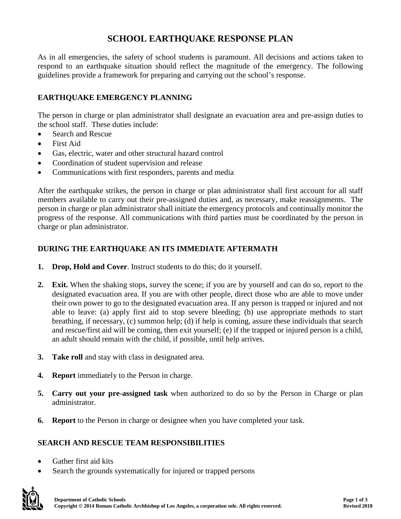# **SCHOOL EARTHQUAKE RESPONSE PLAN**

As in all emergencies, the safety of school students is paramount. All decisions and actions taken to respond to an earthquake situation should reflect the magnitude of the emergency. The following guidelines provide a framework for preparing and carrying out the school's response.

#### **EARTHQUAKE EMERGENCY PLANNING**

The person in charge or plan administrator shall designate an evacuation area and pre-assign duties to the school staff. These duties include:

- Search and Rescue
- First Aid
- Gas, electric, water and other structural hazard control
- Coordination of student supervision and release
- Communications with first responders, parents and media

After the earthquake strikes, the person in charge or plan administrator shall first account for all staff members available to carry out their pre-assigned duties and, as necessary, make reassignments. The person in charge or plan administrator shall initiate the emergency protocols and continually monitor the progress of the response. All communications with third parties must be coordinated by the person in charge or plan administrator.

#### **DURING THE EARTHQUAKE AN ITS IMMEDIATE AFTERMATH**

- **1. Drop, Hold and Cover**. Instruct students to do this; do it yourself.
- **2. Exit.** When the shaking stops, survey the scene; if you are by yourself and can do so, report to the designated evacuation area. If you are with other people, direct those who are able to move under their own power to go to the designated evacuation area. If any person is trapped or injured and not able to leave: (a) apply first aid to stop severe bleeding; (b) use appropriate methods to start breathing, if necessary, (c) summon help; (d) if help is coming, assure these individuals that search and rescue/first aid will be coming, then exit yourself; (e) if the trapped or injured person is a child, an adult should remain with the child, if possible, until help arrives.
- **3. Take roll** and stay with class in designated area.
- **4. Report** immediately to the Person in charge.
- **5. Carry out your pre-assigned task** when authorized to do so by the Person in Charge or plan administrator.
- **6. Report** to the Person in charge or designee when you have completed your task.

#### **SEARCH AND RESCUE TEAM RESPONSIBILITIES**

- Gather first aid kits
- Search the grounds systematically for injured or trapped persons

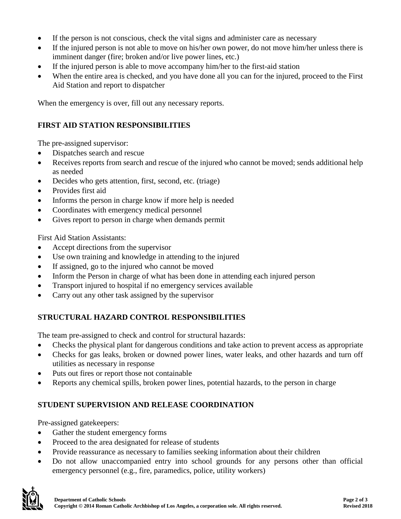- If the person is not conscious, check the vital signs and administer care as necessary
- If the injured person is not able to move on his/her own power, do not move him/her unless there is imminent danger (fire; broken and/or live power lines, etc.)
- If the injured person is able to move accompany him/her to the first-aid station
- When the entire area is checked, and you have done all you can for the injured, proceed to the First Aid Station and report to dispatcher

When the emergency is over, fill out any necessary reports.

### **FIRST AID STATION RESPONSIBILITIES**

The pre-assigned supervisor:

- Dispatches search and rescue
- Receives reports from search and rescue of the injured who cannot be moved; sends additional help as needed
- Decides who gets attention, first, second, etc. (triage)
- Provides first aid
- Informs the person in charge know if more help is needed
- Coordinates with emergency medical personnel
- Gives report to person in charge when demands permit

First Aid Station Assistants:

- Accept directions from the supervisor
- Use own training and knowledge in attending to the injured
- If assigned, go to the injured who cannot be moved
- Inform the Person in charge of what has been done in attending each injured person
- Transport injured to hospital if no emergency services available
- Carry out any other task assigned by the supervisor

# **STRUCTURAL HAZARD CONTROL RESPONSIBILITIES**

The team pre-assigned to check and control for structural hazards:

- Checks the physical plant for dangerous conditions and take action to prevent access as appropriate
- Checks for gas leaks, broken or downed power lines, water leaks, and other hazards and turn off utilities as necessary in response
- Puts out fires or report those not containable
- Reports any chemical spills, broken power lines, potential hazards, to the person in charge

# **STUDENT SUPERVISION AND RELEASE COORDINATION**

Pre-assigned gatekeepers:

- Gather the student emergency forms
- Proceed to the area designated for release of students
- Provide reassurance as necessary to families seeking information about their children
- Do not allow unaccompanied entry into school grounds for any persons other than official emergency personnel (e.g., fire, paramedics, police, utility workers)